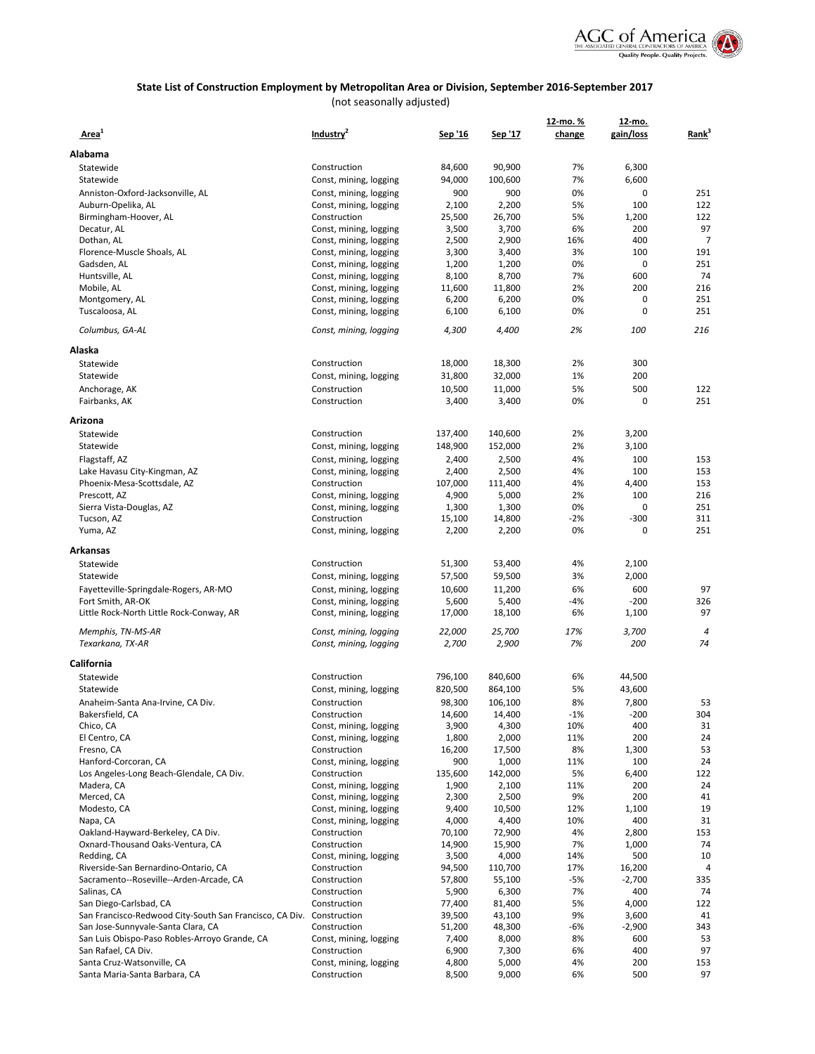

|                                                                      |                                        |                 |                 | 12-mo. %    | 12-mo.       |                   |
|----------------------------------------------------------------------|----------------------------------------|-----------------|-----------------|-------------|--------------|-------------------|
| Area <sup>1</sup>                                                    | Industry <sup>4</sup>                  | Sep '16         | Sep '17         | change      | gain/loss    | Rank <sup>3</sup> |
|                                                                      |                                        |                 |                 |             |              |                   |
| Alabama                                                              |                                        |                 |                 |             |              |                   |
| Statewide                                                            | Construction                           | 84,600          | 90,900          | 7%          | 6,300        |                   |
| Statewide                                                            | Const, mining, logging                 | 94,000          | 100,600         | 7%          | 6,600        |                   |
| Anniston-Oxford-Jacksonville, AL                                     | Const, mining, logging                 | 900             | 900             | 0%          | 0            | 251               |
| Auburn-Opelika, AL                                                   | Const, mining, logging<br>Construction | 2,100           | 2,200           | 5%<br>5%    | 100          | 122<br>122        |
| Birmingham-Hoover, AL<br>Decatur, AL                                 | Const, mining, logging                 | 25,500<br>3,500 | 26,700<br>3,700 | 6%          | 1,200<br>200 | 97                |
| Dothan, AL                                                           | Const, mining, logging                 | 2,500           | 2,900           | 16%         | 400          | $\overline{7}$    |
| Florence-Muscle Shoals, AL                                           | Const, mining, logging                 | 3,300           | 3,400           | 3%          | 100          | 191               |
| Gadsden, AL                                                          | Const, mining, logging                 | 1,200           | 1,200           | 0%          | 0            | 251               |
| Huntsville, AL                                                       | Const, mining, logging                 | 8,100           | 8,700           | 7%          | 600          | 74                |
| Mobile, AL                                                           | Const, mining, logging                 | 11,600          | 11,800          | 2%          | 200          | 216               |
| Montgomery, AL                                                       | Const, mining, logging                 | 6,200           | 6,200           | 0%          | $\mathbf 0$  | 251               |
| Tuscaloosa, AL                                                       | Const, mining, logging                 | 6,100           | 6,100           | 0%          | 0            | 251               |
| Columbus, GA-AL                                                      | Const, mining, logging                 | 4,300           | 4,400           | 2%          | 100          | 216               |
| Alaska                                                               |                                        |                 |                 |             |              |                   |
| Statewide                                                            | Construction                           | 18,000          | 18,300          | 2%          | 300          |                   |
| Statewide                                                            | Const, mining, logging                 | 31,800          | 32,000          | 1%          | 200          |                   |
| Anchorage, AK                                                        | Construction                           | 10,500          | 11,000          | 5%          | 500          | 122               |
| Fairbanks, AK                                                        | Construction                           | 3,400           | 3,400           | 0%          | 0            | 251               |
|                                                                      |                                        |                 |                 |             |              |                   |
| Arizona                                                              |                                        |                 |                 |             |              |                   |
| Statewide                                                            | Construction                           | 137,400         | 140,600         | 2%          | 3,200        |                   |
| Statewide                                                            | Const, mining, logging                 | 148,900         | 152,000         | 2%          | 3,100        |                   |
| Flagstaff, AZ                                                        | Const, mining, logging                 | 2,400           | 2,500           | 4%          | 100          | 153               |
| Lake Havasu City-Kingman, AZ                                         | Const, mining, logging                 | 2,400           | 2,500           | 4%          | 100          | 153               |
| Phoenix-Mesa-Scottsdale, AZ                                          | Construction                           | 107,000         | 111,400         | 4%          | 4,400        | 153               |
| Prescott, AZ                                                         | Const, mining, logging                 | 4,900           | 5,000           | 2%          | 100          | 216               |
| Sierra Vista-Douglas, AZ                                             | Const, mining, logging                 | 1,300           | 1,300           | 0%          | $\mathbf 0$  | 251               |
| Tucson, AZ                                                           | Construction                           | 15,100          | 14,800          | $-2%$<br>0% | $-300$<br>0  | 311<br>251        |
| Yuma, AZ                                                             | Const, mining, logging                 | 2,200           | 2,200           |             |              |                   |
| Arkansas                                                             |                                        |                 |                 |             |              |                   |
| Statewide                                                            | Construction                           | 51,300          | 53,400          | 4%          | 2,100        |                   |
| Statewide                                                            | Const, mining, logging                 | 57,500          | 59,500          | 3%          | 2,000        |                   |
| Fayetteville-Springdale-Rogers, AR-MO                                | Const, mining, logging                 | 10,600          | 11,200          | 6%          | 600          | 97                |
| Fort Smith, AR-OK                                                    | Const, mining, logging                 | 5,600           | 5,400           | $-4%$       | $-200$       | 326               |
| Little Rock-North Little Rock-Conway, AR                             | Const, mining, logging                 | 17,000          | 18,100          | 6%          | 1,100        | 97                |
| Memphis, TN-MS-AR                                                    | Const, mining, logging                 | 22,000          | 25,700          | 17%         | 3,700        | 4                 |
| Texarkana, TX-AR                                                     | Const, mining, logging                 | 2,700           | 2,900           | 7%          | 200          | 74                |
|                                                                      |                                        |                 |                 |             |              |                   |
| California                                                           |                                        |                 |                 |             |              |                   |
| Statewide                                                            | Construction                           | 796,100         | 840,600         | 6%          | 44,500       |                   |
| Statewide                                                            | Const, mining, logging                 | 820,500         | 864,100         | 5%          | 43,600       |                   |
| Anaheim-Santa Ana-Irvine, CA Div.                                    | Construction                           | 98,300          | 106,100         | 8%          | 7,800        | 53                |
| Bakersfield, CA                                                      | Construction                           | 14,600          | 14,400          | -1%         | -200         | 304               |
| Chico, CA                                                            | Const, mining, logging                 | 3,900           | 4,300           | 10%         | 400          | 31                |
| El Centro, CA                                                        | Const, mining, logging                 | 1,800           | 2,000           | 11%         | 200          | 24                |
| Fresno, CA<br>Hanford-Corcoran, CA                                   | Construction<br>Const, mining, logging | 16,200<br>900   | 17,500<br>1,000 | 8%<br>11%   | 1,300<br>100 | 53<br>24          |
| Los Angeles-Long Beach-Glendale, CA Div.                             | Construction                           | 135,600         | 142,000         | 5%          | 6,400        | 122               |
| Madera, CA                                                           | Const, mining, logging                 | 1,900           | 2,100           | 11%         | 200          | 24                |
| Merced, CA                                                           | Const, mining, logging                 | 2,300           | 2,500           | 9%          | 200          | 41                |
| Modesto, CA                                                          | Const, mining, logging                 | 9,400           | 10,500          | 12%         | 1,100        | 19                |
| Napa, CA                                                             | Const, mining, logging                 | 4,000           | 4,400           | 10%         | 400          | 31                |
| Oakland-Hayward-Berkeley, CA Div.                                    | Construction                           | 70,100          | 72,900          | 4%          | 2,800        | 153               |
| Oxnard-Thousand Oaks-Ventura, CA                                     | Construction                           | 14,900          | 15,900          | 7%          | 1,000        | 74                |
| Redding, CA                                                          | Const, mining, logging                 | 3,500           | 4,000           | 14%         | 500          | 10                |
| Riverside-San Bernardino-Ontario, CA                                 | Construction                           | 94,500          | 110,700         | 17%         | 16,200       | 4                 |
| Sacramento--Roseville--Arden-Arcade, CA                              | Construction                           | 57,800          | 55,100          | -5%         | $-2,700$     | 335               |
| Salinas, CA                                                          | Construction                           | 5,900           | 6,300           | 7%          | 400          | 74                |
| San Diego-Carlsbad, CA                                               | Construction                           | 77,400          | 81,400          | 5%          | 4,000        | 122               |
| San Francisco-Redwood City-South San Francisco, CA Div. Construction |                                        | 39,500          | 43,100          | 9%          | 3,600        | 41                |
| San Jose-Sunnyvale-Santa Clara, CA                                   | Construction                           | 51,200          | 48,300          | -6%         | $-2,900$     | 343               |
| San Luis Obispo-Paso Robles-Arroyo Grande, CA                        | Const, mining, logging                 | 7,400           | 8,000           | 8%          | 600          | 53                |
| San Rafael, CA Div.                                                  | Construction                           | 6,900           | 7,300           | 6%          | 400          | 97                |
| Santa Cruz-Watsonville, CA                                           | Const, mining, logging                 | 4,800           | 5,000           | 4%          | 200          | 153               |
| Santa Maria-Santa Barbara, CA                                        | Construction                           | 8,500           | 9,000           | 6%          | 500          | 97                |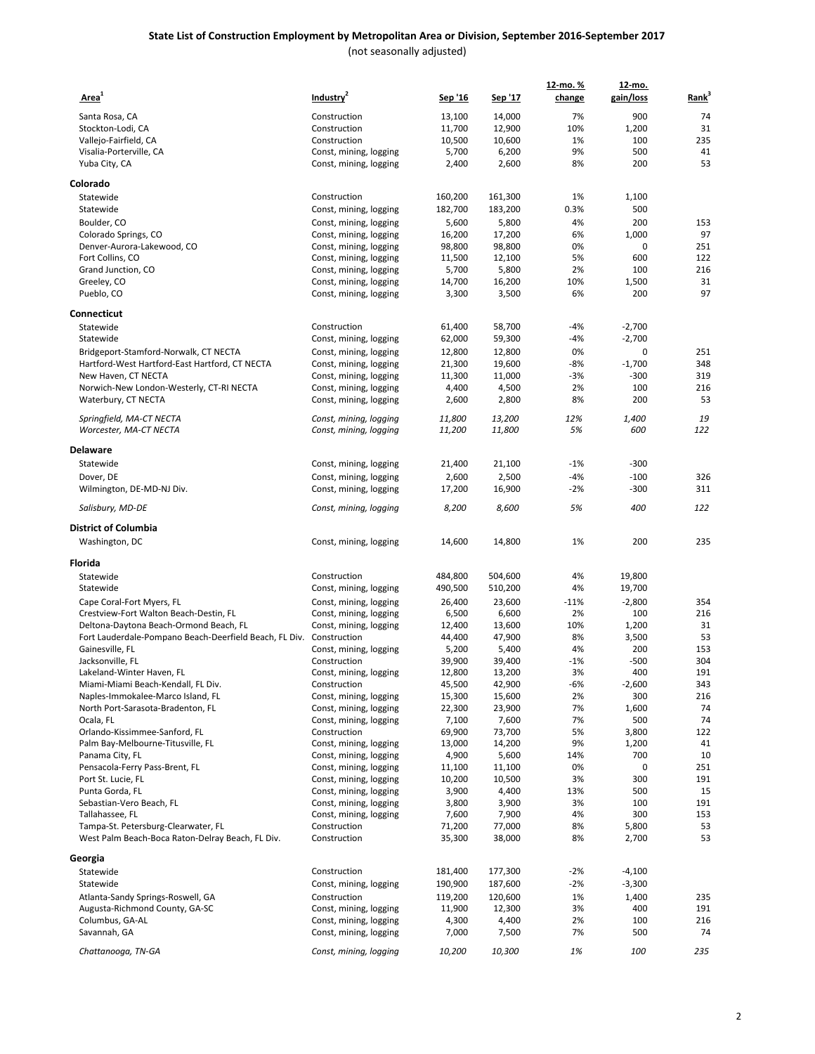| Area <sup>1</sup>                                                                      | Industry <sup>2</sup>                  | Sep '16          | Sep '17          | 12-mo. %<br>change | 12-mo.<br>gain/loss | Rank <sup>3</sup> |
|----------------------------------------------------------------------------------------|----------------------------------------|------------------|------------------|--------------------|---------------------|-------------------|
|                                                                                        |                                        |                  |                  |                    |                     |                   |
| Santa Rosa, CA<br>Stockton-Lodi, CA                                                    | Construction<br>Construction           | 13,100<br>11,700 | 14,000<br>12,900 | 7%<br>10%          | 900<br>1,200        | 74<br>31          |
| Vallejo-Fairfield, CA                                                                  | Construction                           | 10,500           | 10,600           | 1%                 | 100                 | 235               |
| Visalia-Porterville, CA                                                                | Const, mining, logging                 | 5,700            | 6,200            | 9%                 | 500                 | 41                |
| Yuba City, CA                                                                          | Const, mining, logging                 | 2,400            | 2,600            | 8%                 | 200                 | 53                |
| Colorado                                                                               |                                        |                  |                  |                    |                     |                   |
| Statewide                                                                              | Construction                           | 160,200          | 161,300          | 1%                 | 1,100               |                   |
| Statewide                                                                              | Const, mining, logging                 | 182,700          | 183,200          | 0.3%               | 500                 |                   |
| Boulder, CO                                                                            | Const, mining, logging                 | 5,600            | 5,800            | 4%                 | 200                 | 153               |
| Colorado Springs, CO                                                                   | Const, mining, logging                 | 16,200           | 17,200           | 6%                 | 1,000               | 97                |
| Denver-Aurora-Lakewood, CO                                                             | Const, mining, logging                 | 98,800           | 98,800           | 0%                 | 0                   | 251               |
| Fort Collins, CO                                                                       | Const, mining, logging                 | 11,500           | 12,100           | 5%                 | 600                 | 122               |
| Grand Junction, CO                                                                     | Const, mining, logging                 | 5,700            | 5,800            | 2%                 | 100                 | 216               |
| Greeley, CO                                                                            | Const, mining, logging                 | 14,700           | 16,200           | 10%                | 1,500               | 31                |
| Pueblo, CO                                                                             | Const, mining, logging                 | 3,300            | 3,500            | 6%                 | 200                 | 97                |
| Connecticut<br>Statewide                                                               | Construction                           | 61,400           | 58,700           | $-4%$              | $-2,700$            |                   |
| Statewide                                                                              | Const, mining, logging                 | 62,000           | 59,300           | $-4%$              | $-2,700$            |                   |
| Bridgeport-Stamford-Norwalk, CT NECTA                                                  | Const, mining, logging                 | 12,800           | 12,800           | 0%                 | 0                   | 251               |
| Hartford-West Hartford-East Hartford, CT NECTA                                         | Const, mining, logging                 | 21,300           | 19,600           | $-8%$              | $-1,700$            | 348               |
| New Haven, CT NECTA                                                                    | Const, mining, logging                 | 11,300           | 11,000           | $-3%$              | $-300$              | 319               |
| Norwich-New London-Westerly, CT-RI NECTA                                               | Const, mining, logging                 | 4,400            | 4,500            | 2%                 | 100                 | 216               |
| Waterbury, CT NECTA                                                                    | Const, mining, logging                 | 2,600            | 2,800            | 8%                 | 200                 | 53                |
| Springfield, MA-CT NECTA                                                               | Const, mining, logging                 | 11,800           | 13,200           | 12%                | 1,400               | 19                |
| Worcester, MA-CT NECTA                                                                 | Const, mining, logging                 | 11,200           | 11,800           | 5%                 | 600                 | 122               |
| Delaware                                                                               |                                        |                  |                  |                    |                     |                   |
| Statewide                                                                              | Const, mining, logging                 | 21,400           | 21,100           | $-1%$              | $-300$              |                   |
| Dover, DE                                                                              | Const, mining, logging                 | 2,600            | 2,500            | $-4%$              | $-100$              | 326               |
| Wilmington, DE-MD-NJ Div.                                                              | Const, mining, logging                 | 17,200           | 16,900           | $-2%$              | $-300$              | 311               |
| Salisbury, MD-DE                                                                       | Const, mining, logging                 | 8,200            | 8,600            | 5%                 | 400                 | 122               |
| District of Columbia                                                                   |                                        |                  |                  |                    |                     |                   |
| Washington, DC                                                                         | Const, mining, logging                 | 14,600           | 14,800           | 1%                 | 200                 | 235               |
| Florida                                                                                |                                        |                  |                  |                    |                     |                   |
| Statewide                                                                              | Construction                           | 484,800          | 504,600          | 4%                 | 19,800              |                   |
| Statewide                                                                              | Const, mining, logging                 | 490,500          | 510,200          | 4%                 | 19,700              |                   |
| Cape Coral-Fort Myers, FL                                                              | Const, mining, logging                 | 26,400           | 23,600           | $-11%$             | $-2,800$            | 354               |
| Crestview-Fort Walton Beach-Destin, FL                                                 | Const, mining, logging                 | 6,500            | 6,600            | 2%                 | 100                 | 216               |
| Deltona-Daytona Beach-Ormond Beach, FL                                                 | Const, mining, logging                 | 12,400           | 13,600           | 10%                | 1,200               | 31                |
| Fort Lauderdale-Pompano Beach-Deerfield Beach, FL Div. Construction<br>Gainesville, FL | Const, mining, logging                 | 44,400<br>5,200  | 47,900<br>5,400  | 8%<br>4%           | 3,500<br>200        | 53<br>153         |
| Jacksonville, FL                                                                       | Construction                           | 39,900           | 39,400           | $-1%$              | $-500$              | 304               |
| Lakeland-Winter Haven, FL                                                              | Const, mining, logging                 | 12,800           | 13,200           | 3%                 | 400                 | 191               |
| Miami-Miami Beach-Kendall, FL Div.                                                     | Construction                           | 45,500           | 42,900           | -6%                | $-2,600$            | 343               |
| Naples-Immokalee-Marco Island, FL                                                      | Const, mining, logging                 | 15,300           | 15,600           | 2%                 | 300                 | 216               |
| North Port-Sarasota-Bradenton, FL                                                      | Const, mining, logging                 | 22,300           | 23,900           | 7%                 | 1,600               | 74                |
| Ocala, FL                                                                              | Const, mining, logging                 | 7,100            | 7,600            | 7%                 | 500                 | 74                |
| Orlando-Kissimmee-Sanford, FL                                                          | Construction                           | 69,900           | 73,700           | 5%                 | 3,800               | 122               |
| Palm Bay-Melbourne-Titusville, FL                                                      | Const, mining, logging                 | 13,000           | 14,200           | 9%                 | 1,200               | 41                |
| Panama City, FL                                                                        | Const, mining, logging                 | 4,900            | 5,600            | 14%                | 700                 | 10                |
| Pensacola-Ferry Pass-Brent, FL                                                         | Const, mining, logging                 | 11,100           | 11,100           | 0%                 | 0                   | 251               |
| Port St. Lucie, FL                                                                     | Const, mining, logging                 | 10,200           | 10,500           | 3%                 | 300                 | 191               |
| Punta Gorda, FL                                                                        | Const, mining, logging                 | 3,900            | 4,400            | 13%                | 500                 | 15                |
| Sebastian-Vero Beach, FL                                                               | Const, mining, logging                 | 3,800            | 3,900            | 3%                 | 100                 | 191<br>153        |
| Tallahassee, FL<br>Tampa-St. Petersburg-Clearwater, FL                                 | Const, mining, logging<br>Construction | 7,600<br>71,200  | 7,900<br>77,000  | 4%<br>8%           | 300<br>5,800        | 53                |
| West Palm Beach-Boca Raton-Delray Beach, FL Div.                                       | Construction                           | 35,300           | 38,000           | 8%                 | 2,700               | 53                |
| Georgia                                                                                |                                        |                  |                  |                    |                     |                   |
| Statewide                                                                              | Construction                           | 181,400          | 177,300          | $-2%$              | $-4,100$            |                   |
| Statewide                                                                              | Const, mining, logging                 | 190,900          | 187,600          | $-2%$              | $-3,300$            |                   |
| Atlanta-Sandy Springs-Roswell, GA                                                      | Construction                           | 119,200          | 120,600          | 1%                 | 1,400               | 235               |
| Augusta-Richmond County, GA-SC                                                         | Const, mining, logging                 | 11,900           | 12,300           | 3%                 | 400                 | 191               |
| Columbus, GA-AL                                                                        | Const, mining, logging                 | 4,300            | 4,400            | 2%                 | 100                 | 216               |
| Savannah, GA                                                                           | Const, mining, logging                 | 7,000            | 7,500            | 7%                 | 500                 | 74                |
| Chattanooga, TN-GA                                                                     | Const, mining, logging                 | 10,200           | 10,300           | 1%                 | 100                 | 235               |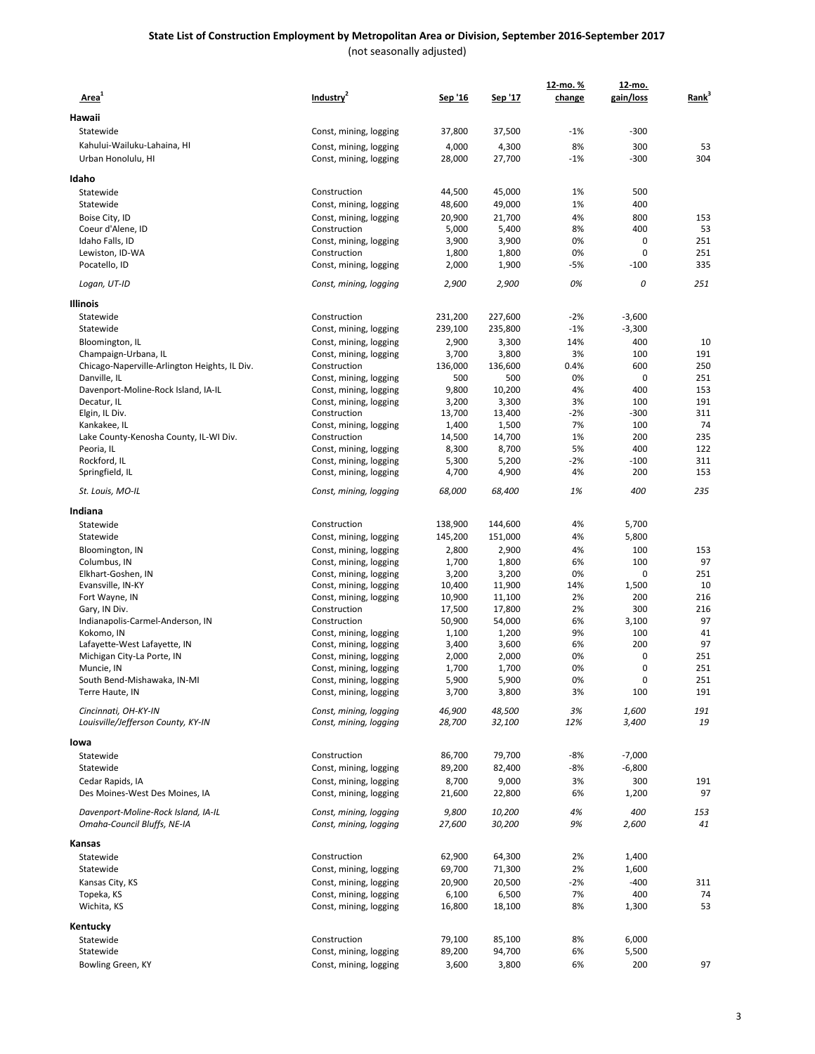#### **State List of Construction Employment by Metropolitan Area or Division, September 2016-September 2017** (not seasonally adjusted)

| Area <sup>1</sup>                                                  | Industry <sup>2</sup>                            | Sep '16         | Sep '17          | 12-mo. %<br>change | 12-mo.<br>gain/loss | Rank <sup>3</sup> |
|--------------------------------------------------------------------|--------------------------------------------------|-----------------|------------------|--------------------|---------------------|-------------------|
| Hawaii                                                             |                                                  |                 |                  |                    |                     |                   |
| Statewide                                                          | Const, mining, logging                           | 37,800          | 37,500           | $-1%$              | $-300$              |                   |
| Kahului-Wailuku-Lahaina, HI                                        | Const, mining, logging                           | 4,000           | 4,300            | 8%                 | 300                 | 53                |
| Urban Honolulu, HI                                                 | Const, mining, logging                           | 28,000          | 27,700           | $-1%$              | $-300$              | 304               |
| Idaho                                                              |                                                  |                 |                  |                    |                     |                   |
| Statewide                                                          | Construction                                     | 44,500          | 45,000           | 1%                 | 500                 |                   |
| Statewide                                                          | Const, mining, logging                           | 48,600          | 49,000           | 1%                 | 400                 |                   |
| Boise City, ID                                                     | Const, mining, logging                           | 20,900          | 21,700           | 4%                 | 800                 | 153               |
| Coeur d'Alene, ID                                                  | Construction                                     | 5,000           | 5,400            | 8%                 | 400                 | 53                |
| Idaho Falls, ID                                                    | Const, mining, logging                           | 3,900           | 3,900            | 0%                 | 0                   | 251               |
| Lewiston, ID-WA                                                    | Construction                                     | 1,800           | 1,800            | 0%                 | $\mathbf 0$         | 251               |
| Pocatello, ID                                                      | Const, mining, logging                           | 2,000           | 1,900            | -5%                | $-100$              | 335               |
| Logan, UT-ID                                                       | Const, mining, logging                           | 2,900           | 2,900            | 0%                 | 0                   | 251               |
| Illinois                                                           |                                                  |                 |                  |                    |                     |                   |
| Statewide                                                          | Construction                                     | 231,200         | 227,600          | $-2%$              | $-3,600$            |                   |
| Statewide                                                          | Const, mining, logging                           | 239,100         | 235,800          | $-1%$              | $-3,300$            |                   |
| Bloomington, IL                                                    | Const, mining, logging                           | 2,900           | 3,300            | 14%                | 400                 | 10                |
| Champaign-Urbana, IL                                               | Const, mining, logging                           | 3,700           | 3,800            | 3%                 | 100                 | 191               |
| Chicago-Naperville-Arlington Heights, IL Div.                      | Construction                                     | 136,000         | 136,600          | 0.4%               | 600                 | 250               |
| Danville, IL                                                       | Const, mining, logging                           | 500             | 500              | 0%                 | 0                   | 251               |
| Davenport-Moline-Rock Island, IA-IL                                | Const, mining, logging                           | 9,800           | 10,200           | 4%                 | 400                 | 153               |
| Decatur, IL                                                        | Const, mining, logging                           | 3,200           | 3,300            | 3%                 | 100                 | 191               |
| Elgin, IL Div.                                                     | Construction                                     | 13,700          | 13,400           | $-2%$<br>7%        | $-300$              | 311               |
| Kankakee, IL                                                       | Const, mining, logging                           | 1,400           | 1,500            |                    | 100                 | 74<br>235         |
| Lake County-Kenosha County, IL-WI Div.                             | Construction                                     | 14,500          | 14,700           | 1%<br>5%           | 200<br>400          | 122               |
| Peoria, IL<br>Rockford, IL                                         | Const, mining, logging<br>Const, mining, logging | 8,300<br>5,300  | 8,700<br>5,200   | $-2%$              | $-100$              | 311               |
| Springfield, IL                                                    | Const, mining, logging                           | 4,700           | 4,900            | 4%                 | 200                 | 153               |
| St. Louis, MO-IL                                                   | Const, mining, logging                           | 68,000          | 68,400           | 1%                 | 400                 | 235               |
| Indiana                                                            |                                                  |                 |                  |                    |                     |                   |
| Statewide                                                          | Construction                                     | 138,900         | 144,600          | 4%                 | 5,700               |                   |
| Statewide                                                          | Const, mining, logging                           | 145,200         | 151,000          | 4%                 | 5,800               |                   |
| Bloomington, IN                                                    | Const, mining, logging                           | 2,800           | 2,900            | 4%                 | 100                 | 153               |
| Columbus, IN                                                       | Const, mining, logging                           | 1,700           | 1,800            | 6%                 | 100                 | 97                |
| Elkhart-Goshen, IN                                                 | Const, mining, logging                           | 3,200           | 3,200            | 0%                 | 0                   | 251               |
| Evansville, IN-KY                                                  | Const, mining, logging                           | 10,400          | 11,900           | 14%                | 1,500               | 10                |
| Fort Wayne, IN                                                     | Const, mining, logging                           | 10,900          | 11,100           | 2%                 | 200                 | 216               |
| Gary, IN Div.                                                      | Construction                                     | 17,500          | 17,800           | 2%                 | 300                 | 216               |
| Indianapolis-Carmel-Anderson, IN                                   | Construction                                     | 50,900          | 54,000           | 6%                 | 3,100               | 97                |
| Kokomo, IN                                                         | Const, mining, logging                           | 1,100           | 1,200            | 9%                 | 100                 | 41                |
| Lafayette-West Lafayette, IN                                       | Const, mining, logging                           | 3,400           | 3,600            | 6%                 | 200                 | 97                |
| Michigan City-La Porte, IN                                         | Const, mining, logging                           | 2,000           | 2,000            | 0%                 | 0                   | 251               |
| Muncie, IN                                                         | Const, mining, logging                           | 1,700           | 1,700            | 0%                 | $\mathbf 0$         | 251               |
| South Bend-Mishawaka, IN-MI                                        | Const, mining, logging                           | 5,900           | 5,900            | 0%                 | $\mathbf 0$         | 251               |
| Terre Haute, IN                                                    | Const, mining, logging                           | 3,700           | 3,800            | 3%                 | 100                 | 191               |
| Cincinnati, OH-KY-IN                                               | Const, mining, logging                           | 46,900          | 48,500           | 3%                 | 1,600               | 191               |
| Louisville/Jefferson County, KY-IN                                 | Const, mining, logging                           | 28,700          | 32,100           | 12%                | 3,400               | 19                |
| lowa                                                               |                                                  |                 |                  |                    |                     |                   |
| Statewide                                                          | Construction                                     | 86,700          | 79,700           | -8%                | $-7,000$            |                   |
| Statewide                                                          | Const, mining, logging                           | 89,200          | 82,400           | -8%                | $-6,800$            |                   |
| Cedar Rapids, IA                                                   | Const, mining, logging                           | 8,700           | 9,000            | 3%                 | 300                 | 191               |
| Des Moines-West Des Moines, IA                                     | Const, mining, logging                           | 21,600          | 22,800           | 6%                 | 1,200               | 97                |
| Davenport-Moline-Rock Island, IA-IL<br>Omaha-Council Bluffs, NE-IA | Const, mining, logging<br>Const, mining, logging | 9,800<br>27,600 | 10,200<br>30,200 | 4%<br>9%           | 400<br>2,600        | 153<br>41         |
| Kansas                                                             |                                                  |                 |                  |                    |                     |                   |
| Statewide                                                          | Construction                                     | 62,900          | 64,300           | 2%                 | 1,400               |                   |
| Statewide                                                          | Const, mining, logging                           | 69,700          | 71,300           | 2%                 | 1,600               |                   |
| Kansas City, KS                                                    | Const, mining, logging                           | 20,900          | 20,500           | $-2%$              | $-400$              | 311               |
| Topeka, KS                                                         | Const, mining, logging                           | 6,100           | 6,500            | 7%                 | 400                 | 74                |
| Wichita, KS                                                        | Const, mining, logging                           | 16,800          | 18,100           | 8%                 | 1,300               | 53                |
| Kentucky                                                           |                                                  |                 |                  |                    |                     |                   |
| Statewide                                                          | Construction                                     | 79,100          | 85,100           | 8%                 | 6,000               |                   |
| Statewide                                                          | Const, mining, logging                           | 89,200          | 94,700           | 6%                 | 5,500               |                   |
| Bowling Green, KY                                                  | Const, mining, logging                           | 3,600           | 3,800            | 6%                 | 200                 | 97                |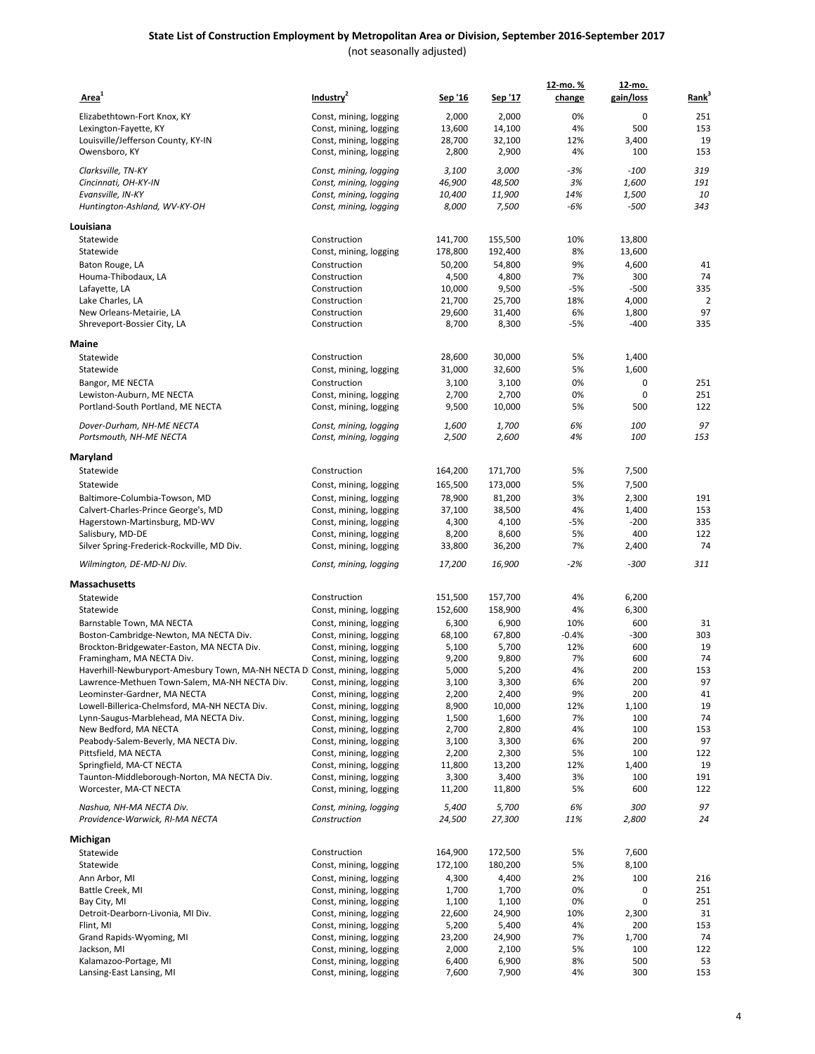| Area <sup>1</sup>                                                          | Industry <sup>2</sup>  | Sep '16 | Sep '17 | 12-mo. %<br>change | <u>12-mo.</u><br>gain/loss | Rank <sup>3</sup> |
|----------------------------------------------------------------------------|------------------------|---------|---------|--------------------|----------------------------|-------------------|
| Elizabethtown-Fort Knox, KY                                                | Const, mining, logging | 2,000   | 2,000   | 0%                 | 0                          | 251               |
| Lexington-Fayette, KY                                                      | Const, mining, logging | 13,600  | 14,100  | 4%                 | 500                        | 153               |
| Louisville/Jefferson County, KY-IN                                         | Const, mining, logging | 28,700  | 32,100  | 12%                | 3,400                      | 19                |
| Owensboro, KY                                                              | Const, mining, logging | 2,800   | 2,900   | 4%                 | 100                        | 153               |
| Clarksville, TN-KY                                                         | Const, mining, logging | 3,100   | 3,000   | -3%                | $-100$                     | 319               |
| Cincinnati, OH-KY-IN                                                       | Const, mining, logging | 46,900  | 48,500  | 3%                 | 1,600                      | 191               |
| Evansville, IN-KY                                                          | Const, mining, logging | 10,400  | 11,900  | 14%                | 1,500                      | 10                |
| Huntington-Ashland, WV-KY-OH                                               | Const, mining, logging | 8,000   | 7,500   | -6%                | $-500$                     | 343               |
| Louisiana                                                                  |                        |         |         |                    |                            |                   |
| Statewide                                                                  | Construction           | 141,700 | 155,500 | 10%                | 13,800                     |                   |
| Statewide                                                                  | Const, mining, logging | 178,800 | 192,400 | 8%                 | 13,600                     |                   |
| Baton Rouge, LA                                                            | Construction           | 50,200  | 54,800  | 9%                 | 4,600                      | 41                |
| Houma-Thibodaux, LA                                                        | Construction           | 4,500   | 4,800   | 7%                 | 300                        | 74                |
| Lafayette, LA                                                              | Construction           | 10,000  | 9,500   | -5%                | $-500$                     | 335               |
| Lake Charles, LA                                                           | Construction           | 21,700  | 25,700  | 18%                | 4,000                      | $\overline{2}$    |
| New Orleans-Metairie, LA                                                   | Construction           | 29,600  | 31,400  | 6%                 | 1,800                      | 97                |
| Shreveport-Bossier City, LA                                                | Construction           | 8,700   | 8,300   | $-5%$              | $-400$                     | 335               |
| Maine                                                                      |                        |         |         |                    |                            |                   |
| Statewide                                                                  | Construction           | 28,600  | 30,000  | 5%                 | 1,400                      |                   |
| Statewide                                                                  | Const, mining, logging | 31,000  | 32,600  | 5%                 | 1,600                      |                   |
| Bangor, ME NECTA                                                           | Construction           | 3,100   | 3,100   | 0%                 | 0                          | 251               |
| Lewiston-Auburn, ME NECTA                                                  | Const, mining, logging | 2,700   | 2,700   | 0%                 | 0                          | 251               |
| Portland-South Portland, ME NECTA                                          | Const, mining, logging | 9,500   | 10,000  | 5%                 | 500                        | 122               |
| Dover-Durham, NH-ME NECTA                                                  | Const, mining, logging | 1,600   | 1,700   | 6%                 | 100                        | 97                |
| Portsmouth, NH-ME NECTA                                                    | Const, mining, logging | 2,500   | 2,600   | 4%                 | 100                        | 153               |
| Maryland                                                                   |                        |         |         |                    |                            |                   |
| Statewide                                                                  | Construction           | 164,200 | 171,700 | 5%                 | 7,500                      |                   |
| Statewide                                                                  | Const, mining, logging | 165,500 | 173,000 | 5%                 | 7,500                      |                   |
| Baltimore-Columbia-Towson, MD                                              | Const, mining, logging | 78,900  | 81,200  | 3%                 | 2,300                      | 191               |
| Calvert-Charles-Prince George's, MD                                        | Const, mining, logging | 37,100  | 38,500  | 4%                 | 1,400                      | 153               |
| Hagerstown-Martinsburg, MD-WV                                              | Const, mining, logging | 4,300   | 4,100   | -5%                | $-200$                     | 335               |
| Salisbury, MD-DE                                                           | Const, mining, logging | 8,200   | 8,600   | 5%                 | 400                        | 122               |
| Silver Spring-Frederick-Rockville, MD Div.                                 | Const, mining, logging | 33,800  | 36,200  | 7%                 | 2,400                      | 74                |
| Wilmington, DE-MD-NJ Div.                                                  | Const, mining, logging | 17,200  | 16,900  | $-2%$              | $-300$                     | 311               |
| Massachusetts                                                              |                        |         |         |                    |                            |                   |
| Statewide                                                                  | Construction           | 151,500 | 157,700 | 4%                 | 6,200                      |                   |
| Statewide                                                                  | Const, mining, logging | 152,600 | 158,900 | 4%                 | 6,300                      |                   |
| Barnstable Town, MA NECTA                                                  | Const, mining, logging | 6,300   | 6,900   | 10%                | 600                        | 31                |
| Boston-Cambridge-Newton, MA NECTA Div.                                     | Const, mining, logging | 68,100  | 67,800  | $-0.4%$            | $-300$                     | 303               |
| Brockton-Bridgewater-Easton, MA NECTA Div.                                 | Const, mining, logging | 5,100   | 5,700   | 12%                | 600                        | 19                |
| Framingham, MA NECTA Div.                                                  | Const, mining, logging | 9,200   | 9,800   | 7%                 | 600                        | 74                |
| Haverhill-Newburyport-Amesbury Town, MA-NH NECTA Di Const, mining, logging |                        | 5,000   | 5,200   | 4%                 | 200                        | 153               |
| Lawrence-Methuen Town-Salem, MA-NH NECTA Div.                              | Const, mining, logging | 3,100   | 3,300   | 6%                 | 200                        | 97                |
| Leominster-Gardner, MA NECTA                                               | Const, mining, logging | 2,200   | 2,400   | 9%                 | 200                        | 41                |
| Lowell-Billerica-Chelmsford, MA-NH NECTA Div.                              | Const, mining, logging | 8,900   | 10,000  | 12%                | 1,100                      | 19                |
| Lynn-Saugus-Marblehead, MA NECTA Div.                                      | Const, mining, logging | 1,500   | 1,600   | 7%                 | 100                        | 74                |
| New Bedford, MA NECTA                                                      | Const, mining, logging | 2,700   | 2,800   | 4%                 | 100                        | 153               |
| Peabody-Salem-Beverly, MA NECTA Div.                                       | Const, mining, logging | 3,100   | 3,300   | 6%                 | 200                        | 97                |
| Pittsfield, MA NECTA                                                       | Const, mining, logging | 2,200   | 2,300   | 5%                 | 100                        | 122               |
| Springfield, MA-CT NECTA                                                   | Const, mining, logging | 11,800  | 13,200  | 12%                | 1,400                      | 19                |
| Taunton-Middleborough-Norton, MA NECTA Div.                                | Const, mining, logging | 3,300   | 3,400   | 3%                 | 100                        | 191               |
| Worcester, MA-CT NECTA                                                     | Const, mining, logging | 11,200  | 11,800  | 5%                 | 600                        | 122               |
| Nashua, NH-MA NECTA Div.                                                   | Const, mining, logging | 5,400   | 5,700   | 6%                 | 300                        | 97                |
| Providence-Warwick, RI-MA NECTA                                            | Construction           | 24,500  | 27,300  | 11%                | 2,800                      | 24                |
| Michigan                                                                   |                        | 164,900 |         |                    | 7,600                      |                   |
| Statewide                                                                  | Construction           |         | 172,500 | 5%                 |                            |                   |
| Statewide                                                                  | Const, mining, logging | 172,100 | 180,200 | 5%                 | 8,100                      |                   |
| Ann Arbor, MI                                                              | Const, mining, logging | 4,300   | 4,400   | 2%                 | 100                        | 216               |
| Battle Creek, MI                                                           | Const, mining, logging | 1,700   | 1,700   | 0%                 | 0                          | 251               |
| Bay City, MI                                                               | Const, mining, logging | 1,100   | 1,100   | 0%                 | 0                          | 251               |
| Detroit-Dearborn-Livonia, MI Div.                                          | Const, mining, logging | 22,600  | 24,900  | 10%                | 2,300                      | 31                |
| Flint, MI                                                                  | Const, mining, logging | 5,200   | 5,400   | 4%                 | 200                        | 153               |
| Grand Rapids-Wyoming, MI                                                   | Const, mining, logging | 23,200  | 24,900  | 7%                 | 1,700                      | 74                |
| Jackson, MI                                                                | Const, mining, logging | 2,000   | 2,100   | 5%                 | 100                        | 122               |
| Kalamazoo-Portage, MI                                                      | Const, mining, logging | 6,400   | 6,900   | 8%                 | 500                        | 53                |
| Lansing-East Lansing, MI                                                   | Const, mining, logging | 7,600   | 7,900   | 4%                 | 300                        | 153               |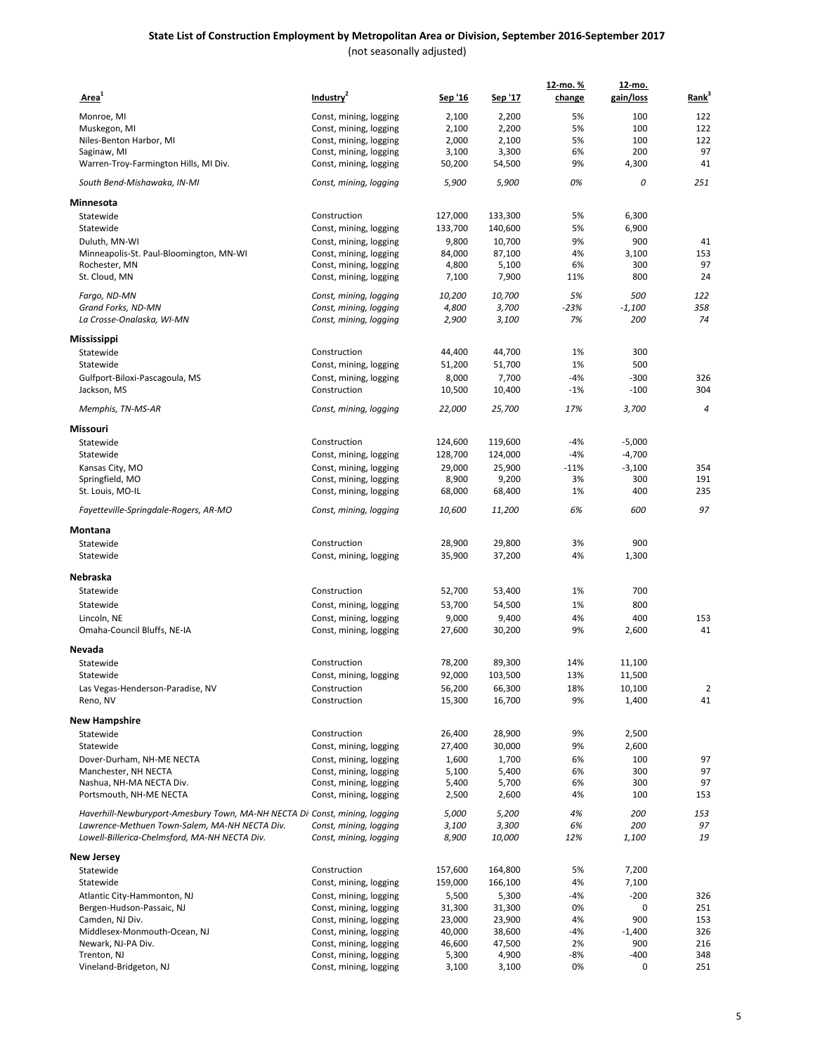| Area <sup>1</sup>                                                          | Industry <sup>2</sup>                  | Sep '16          | <u>Sep '17</u>   | 12-mo.%<br>change | 12-mo.<br>gain/loss | Rank <sup>3</sup>    |
|----------------------------------------------------------------------------|----------------------------------------|------------------|------------------|-------------------|---------------------|----------------------|
| Monroe, MI                                                                 | Const, mining, logging                 | 2,100            | 2,200            | 5%                | 100                 | 122                  |
| Muskegon, MI                                                               | Const, mining, logging                 | 2,100            | 2,200            | 5%                | 100                 | 122                  |
| Niles-Benton Harbor, MI                                                    | Const, mining, logging                 | 2,000            | 2,100            | 5%                | 100                 | 122                  |
| Saginaw, MI                                                                | Const, mining, logging                 | 3,100            | 3,300            | 6%                | 200                 | 97                   |
| Warren-Troy-Farmington Hills, MI Div.                                      | Const, mining, logging                 | 50,200           | 54,500           | 9%                | 4,300               | 41                   |
| South Bend-Mishawaka, IN-MI                                                | Const, mining, logging                 | 5,900            | 5,900            | 0%                | 0                   | 251                  |
| Minnesota                                                                  |                                        |                  |                  |                   |                     |                      |
| Statewide                                                                  | Construction                           | 127,000          | 133,300          | 5%                | 6,300               |                      |
| Statewide                                                                  | Const, mining, logging                 | 133,700          | 140,600          | 5%                | 6,900               |                      |
| Duluth, MN-WI                                                              | Const, mining, logging                 | 9,800            | 10,700           | 9%                | 900                 | 41                   |
| Minneapolis-St. Paul-Bloomington, MN-WI                                    | Const, mining, logging                 | 84,000           | 87,100           | 4%                | 3,100               | 153                  |
| Rochester, MN                                                              | Const, mining, logging                 | 4,800            | 5,100            | 6%                | 300                 | 97                   |
| St. Cloud, MN                                                              | Const, mining, logging                 | 7,100            | 7,900            | 11%               | 800                 | 24                   |
| Fargo, ND-MN                                                               | Const, mining, logging                 | 10,200           | 10,700           | 5%                | 500                 | 122                  |
| Grand Forks, ND-MN                                                         | Const, mining, logging                 | 4,800            | 3,700            | $-23%$            | $-1,100$            | 358                  |
| La Crosse-Onalaska, WI-MN                                                  | Const, mining, logging                 | 2,900            | 3,100            | 7%                | 200                 | 74                   |
| Mississippi                                                                |                                        |                  |                  |                   |                     |                      |
| Statewide                                                                  | Construction                           | 44,400           | 44,700           | 1%                | 300                 |                      |
| Statewide                                                                  | Const, mining, logging                 | 51,200           | 51,700           | 1%                | 500                 |                      |
| Gulfport-Biloxi-Pascagoula, MS                                             | Const, mining, logging                 | 8,000            | 7,700            | $-4%$             | $-300$              | 326                  |
| Jackson, MS                                                                | Construction                           | 10,500           | 10,400           | $-1%$             | $-100$              | 304                  |
| Memphis, TN-MS-AR                                                          | Const, mining, logging                 | 22,000           | 25,700           | 17%               | 3,700               | $\overline{4}$       |
| Missouri                                                                   |                                        |                  |                  |                   |                     |                      |
| Statewide                                                                  | Construction                           | 124,600          | 119,600          | -4%               | $-5,000$            |                      |
| Statewide                                                                  | Const, mining, logging                 | 128,700          | 124,000          | -4%               | $-4,700$            |                      |
| Kansas City, MO                                                            | Const, mining, logging                 | 29,000           | 25,900           | $-11%$            | $-3,100$            | 354                  |
| Springfield, MO                                                            | Const, mining, logging                 | 8,900            | 9,200            | 3%                | 300                 | 191                  |
| St. Louis, MO-IL                                                           | Const, mining, logging                 | 68,000           | 68,400           | 1%                | 400                 | 235                  |
| Fayetteville-Springdale-Rogers, AR-MO                                      | Const, mining, logging                 | 10,600           | 11,200           | 6%                | 600                 | 97                   |
| Montana                                                                    |                                        |                  |                  |                   |                     |                      |
| Statewide<br>Statewide                                                     | Construction<br>Const, mining, logging | 28,900<br>35,900 | 29,800<br>37,200 | 3%<br>4%          | 900<br>1,300        |                      |
|                                                                            |                                        |                  |                  |                   |                     |                      |
| Nebraska                                                                   |                                        |                  |                  |                   |                     |                      |
| Statewide                                                                  | Construction                           | 52,700           | 53,400           | 1%                | 700                 |                      |
| Statewide                                                                  | Const, mining, logging                 | 53,700           | 54,500           | 1%                | 800                 |                      |
| Lincoln, NE                                                                | Const, mining, logging                 | 9,000            | 9,400            | 4%                | 400                 | 153                  |
| Omaha-Council Bluffs, NE-IA                                                | Const, mining, logging                 | 27,600           | 30,200           | 9%                | 2,600               | 41                   |
| Nevada                                                                     |                                        |                  |                  |                   |                     |                      |
| Statewide                                                                  | Construction                           | 78,200           | 89,300           | 14%               | 11,100              |                      |
| Statewide                                                                  | Const, mining, logging                 | 92,000           | 103,500          | 13%               | 11,500              |                      |
| Las Vegas-Henderson-Paradise, NV<br>Reno, NV                               | Construction<br>Construction           | 56,200<br>15,300 | 66,300<br>16,700 | 18%<br>9%         | 10,100<br>1,400     | $\overline{2}$<br>41 |
|                                                                            |                                        |                  |                  |                   |                     |                      |
| New Hampshire                                                              |                                        |                  |                  |                   |                     |                      |
| Statewide<br>Statewide                                                     | Construction<br>Const, mining, logging | 26,400<br>27,400 | 28,900<br>30,000 | 9%<br>9%          | 2,500<br>2,600      |                      |
| Dover-Durham, NH-ME NECTA                                                  | Const, mining, logging                 | 1,600            | 1,700            | 6%                | 100                 | 97                   |
| Manchester, NH NECTA                                                       | Const, mining, logging                 | 5,100            | 5,400            | 6%                | 300                 | 97                   |
| Nashua, NH-MA NECTA Div.                                                   | Const, mining, logging                 | 5,400            | 5,700            | 6%                | 300                 | 97                   |
| Portsmouth, NH-ME NECTA                                                    | Const, mining, logging                 | 2,500            | 2,600            | 4%                | 100                 | 153                  |
| Haverhill-Newburyport-Amesbury Town, MA-NH NECTA Di Const, mining, logging |                                        | 5,000            | 5,200            | 4%                | 200                 | 153                  |
| Lawrence-Methuen Town-Salem, MA-NH NECTA Div.                              | Const, mining, logging                 | 3,100            | 3,300            | 6%                | 200                 | 97                   |
| Lowell-Billerica-Chelmsford, MA-NH NECTA Div.                              | Const, mining, logging                 | 8,900            | 10,000           | 12%               | 1,100               | 19                   |
| New Jersey                                                                 |                                        |                  |                  |                   |                     |                      |
| Statewide                                                                  | Construction                           | 157,600          | 164,800          | 5%                | 7,200               |                      |
| Statewide                                                                  | Const, mining, logging                 | 159,000          | 166,100          | 4%                | 7,100               |                      |
| Atlantic City-Hammonton, NJ                                                | Const, mining, logging                 | 5,500            | 5,300            | -4%               | $-200$              | 326                  |
| Bergen-Hudson-Passaic, NJ                                                  | Const, mining, logging                 | 31,300           | 31,300           | 0%                | 0                   | 251                  |
| Camden, NJ Div.                                                            | Const, mining, logging                 | 23,000           | 23,900           | 4%                | 900                 | 153                  |
| Middlesex-Monmouth-Ocean, NJ                                               | Const, mining, logging                 | 40,000           | 38,600           | -4%               | $-1,400$            | 326                  |
| Newark, NJ-PA Div.                                                         | Const, mining, logging                 | 46,600           | 47,500           | 2%                | 900                 | 216                  |
| Trenton, NJ                                                                | Const, mining, logging                 | 5,300            | 4,900            | -8%               | $-400$              | 348                  |
| Vineland-Bridgeton, NJ                                                     | Const, mining, logging                 | 3,100            | 3,100            | 0%                | 0                   | 251                  |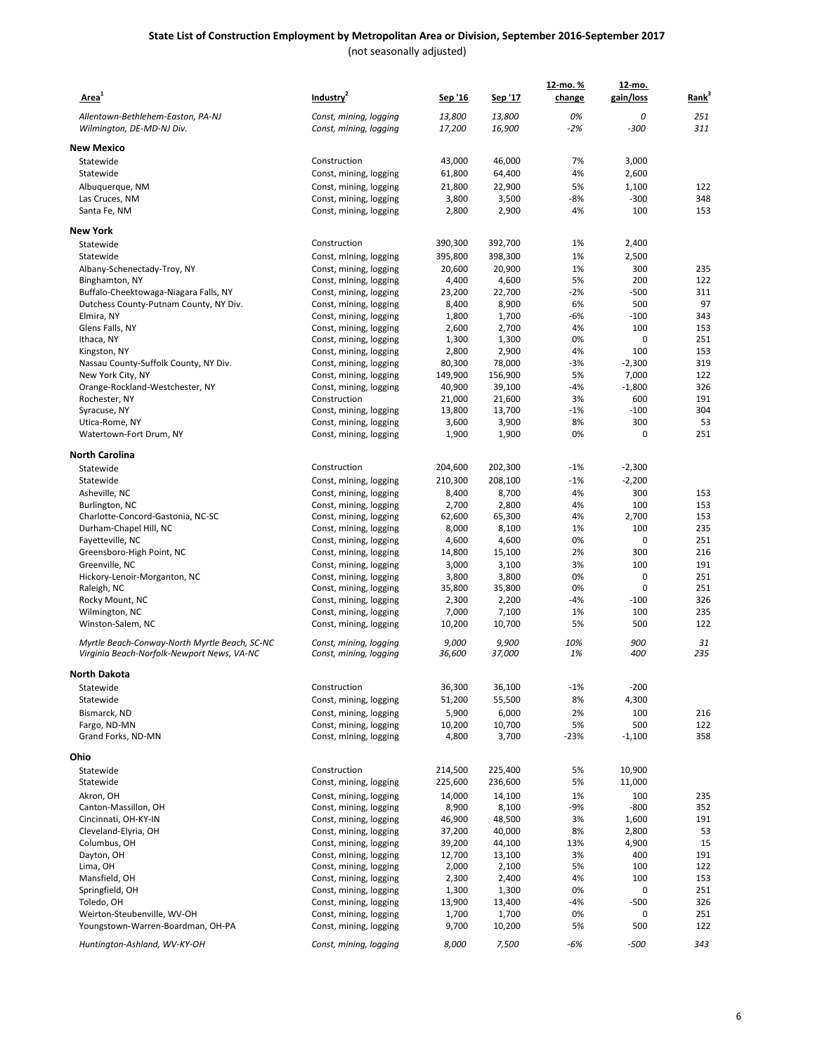| Area <sup>1</sup>                             | Industry <sup>2</sup>                            | Sep '16          | <u>Sep '17</u>   | 12-mo. %<br>change | 12-mo.<br>gain/loss | Rank <sup>3</sup> |
|-----------------------------------------------|--------------------------------------------------|------------------|------------------|--------------------|---------------------|-------------------|
| Allentown-Bethlehem-Easton, PA-NJ             | Const, mining, logging                           | 13,800           | 13,800           | 0%                 | 0                   | 251               |
| Wilmington, DE-MD-NJ Div.                     | Const, mining, logging                           | 17,200           | 16,900           | $-2%$              | $-300$              | 311               |
| <b>New Mexico</b>                             |                                                  |                  |                  |                    |                     |                   |
| Statewide                                     | Construction                                     | 43,000           | 46,000           | 7%                 | 3,000               |                   |
| Statewide                                     | Const, mining, logging                           | 61,800           | 64,400           | 4%                 | 2,600               |                   |
| Albuquerque, NM                               | Const, mining, logging                           | 21,800           | 22,900           | 5%                 | 1,100               | 122               |
| Las Cruces, NM                                | Const, mining, logging                           | 3,800            | 3,500            | -8%                | $-300$              | 348               |
| Santa Fe, NM                                  | Const, mining, logging                           | 2,800            | 2,900            | 4%                 | 100                 | 153               |
| <b>New York</b>                               |                                                  |                  |                  |                    |                     |                   |
| Statewide                                     | Construction                                     | 390,300          | 392,700          | 1%                 | 2,400               |                   |
| Statewide                                     | Const, mining, logging                           | 395,800          | 398,300          | 1%                 | 2,500               |                   |
| Albany-Schenectady-Troy, NY                   | Const, mining, logging                           | 20,600           | 20,900           | 1%                 | 300                 | 235               |
| Binghamton, NY                                | Const, mining, logging                           | 4,400            | 4,600            | 5%                 | 200                 | 122               |
| Buffalo-Cheektowaga-Niagara Falls, NY         | Const, mining, logging                           | 23,200           | 22,700           | -2%                | $-500$              | 311               |
| Dutchess County-Putnam County, NY Div.        | Const, mining, logging                           | 8,400            | 8,900            | 6%                 | 500                 | 97                |
| Elmira, NY                                    | Const, mining, logging                           | 1,800            | 1,700            | -6%                | $-100$              | 343               |
| Glens Falls, NY                               | Const, mining, logging                           | 2,600            | 2,700            | 4%                 | 100                 | 153               |
| Ithaca, NY                                    | Const, mining, logging                           | 1,300            | 1,300            | 0%                 | $\mathbf 0$         | 251               |
| Kingston, NY                                  | Const, mining, logging                           | 2,800            | 2,900            | 4%                 | 100                 | 153               |
| Nassau County-Suffolk County, NY Div.         | Const, mining, logging                           | 80,300           | 78,000           | -3%                | $-2,300$            | 319               |
| New York City, NY                             | Const, mining, logging                           | 149,900          | 156,900          | 5%                 | 7,000               | 122               |
| Orange-Rockland-Westchester, NY               | Const, mining, logging                           | 40,900           | 39,100           | $-4%$              | $-1,800$            | 326               |
| Rochester, NY                                 | Construction<br>Const, mining, logging           | 21,000<br>13,800 | 21,600<br>13,700 | 3%<br>$-1%$        | 600<br>$-100$       | 191<br>304        |
| Syracuse, NY<br>Utica-Rome, NY                | Const, mining, logging                           | 3,600            | 3,900            | 8%                 | 300                 | 53                |
| Watertown-Fort Drum, NY                       | Const, mining, logging                           | 1,900            | 1,900            | 0%                 | $\mathbf 0$         | 251               |
| <b>North Carolina</b>                         |                                                  |                  |                  |                    |                     |                   |
| Statewide                                     | Construction                                     | 204,600          | 202,300          | $-1%$              | $-2,300$            |                   |
| Statewide                                     | Const, mining, logging                           | 210,300          | 208,100          | $-1%$              | $-2,200$            |                   |
| Asheville, NC                                 | Const, mining, logging                           | 8,400            | 8,700            | 4%                 | 300                 | 153               |
| Burlington, NC                                | Const, mining, logging                           | 2,700            | 2,800            | 4%                 | 100                 | 153               |
| Charlotte-Concord-Gastonia, NC-SC             | Const, mining, logging                           | 62,600           | 65,300           | 4%                 | 2,700               | 153               |
| Durham-Chapel Hill, NC                        | Const, mining, logging                           | 8,000            | 8,100            | 1%                 | 100                 | 235               |
| Fayetteville, NC                              | Const, mining, logging                           | 4,600            | 4,600            | 0%                 | 0                   | 251               |
| Greensboro-High Point, NC                     | Const, mining, logging                           | 14,800           | 15,100           | 2%                 | 300                 | 216               |
| Greenville, NC                                | Const, mining, logging                           | 3,000            | 3,100            | 3%                 | 100                 | 191               |
| Hickory-Lenoir-Morganton, NC                  | Const, mining, logging                           | 3,800            | 3,800            | 0%                 | $\mathbf 0$         | 251               |
| Raleigh, NC                                   | Const, mining, logging                           | 35,800           | 35,800           | 0%                 | $\mathbf 0$         | 251               |
| Rocky Mount, NC                               | Const, mining, logging                           | 2,300            | 2,200            | -4%                | $-100$              | 326               |
| Wilmington, NC                                | Const, mining, logging                           | 7,000            | 7,100            | 1%                 | 100                 | 235               |
| Winston-Salem, NC                             | Const, mining, logging                           | 10,200           | 10,700           | 5%                 | 500                 | 122               |
| Myrtle Beach-Conway-North Myrtle Beach, SC-NC | Const, mining, logging                           | 9,000            | 9,900            | 10%                | 900                 | 31                |
| Virginia Beach-Norfolk-Newport News, VA-NC    | Const, mining, logging                           | 36,600           | 37,000           | 1%                 | 400                 | 235               |
| <b>North Dakota</b>                           |                                                  |                  |                  |                    |                     |                   |
| Statewide                                     | Construction                                     | 36,300           | 36,100           | $-1%$              | $-200$              |                   |
| Statewide                                     | Const, mining, logging                           | 51,200           | 55,500           | 8%                 | 4,300               |                   |
| Bismarck, ND                                  | Const, mining, logging                           | 5,900            | 6,000            | 2%                 | 100                 | 216               |
| Fargo, ND-MN                                  | Const, mining, logging                           | 10,200           | 10,700           | 5%                 | 500                 | 122               |
| Grand Forks, ND-MN                            | Const, mining, logging                           | 4,800            | 3,700            | $-23%$             | $-1,100$            | 358               |
| Ohio                                          |                                                  |                  |                  |                    |                     |                   |
| Statewide                                     | Construction                                     | 214,500          | 225,400          | 5%                 | 10,900              |                   |
| Statewide                                     | Const, mining, logging                           | 225,600          | 236,600          | 5%                 | 11,000              |                   |
| Akron, OH                                     | Const, mining, logging                           | 14,000           | 14,100           | 1%                 | 100                 | 235               |
| Canton-Massillon, OH                          | Const, mining, logging                           | 8,900            | 8,100            | -9%                | $-800$              | 352               |
| Cincinnati, OH-KY-IN<br>Cleveland-Elyria, OH  | Const, mining, logging                           | 46,900           | 48,500           | 3%                 | 1,600               | 191               |
| Columbus, OH                                  | Const, mining, logging                           | 37,200           | 40,000           | 8%                 | 2,800               | 53                |
| Dayton, OH                                    | Const, mining, logging<br>Const, mining, logging | 39,200<br>12,700 | 44,100<br>13,100 | 13%<br>3%          | 4,900<br>400        | 15<br>191         |
| Lima, OH                                      | Const, mining, logging                           | 2,000            | 2,100            | 5%                 | 100                 | 122               |
| Mansfield, OH                                 | Const, mining, logging                           | 2,300            | 2,400            | 4%                 | 100                 | 153               |
| Springfield, OH                               | Const, mining, logging                           | 1,300            | 1,300            | 0%                 | 0                   | 251               |
| Toledo, OH                                    | Const, mining, logging                           | 13,900           | 13,400           | -4%                | -500                | 326               |
| Weirton-Steubenville, WV-OH                   | Const, mining, logging                           | 1,700            | 1,700            | 0%                 | 0                   | 251               |
| Youngstown-Warren-Boardman, OH-PA             | Const, mining, logging                           | 9,700            | 10,200           | 5%                 | 500                 | 122               |
| Huntington-Ashland, WV-KY-OH                  | Const, mining, logging                           | 8,000            | 7,500            | $-6%$              | $-500$              | 343               |
|                                               |                                                  |                  |                  |                    |                     |                   |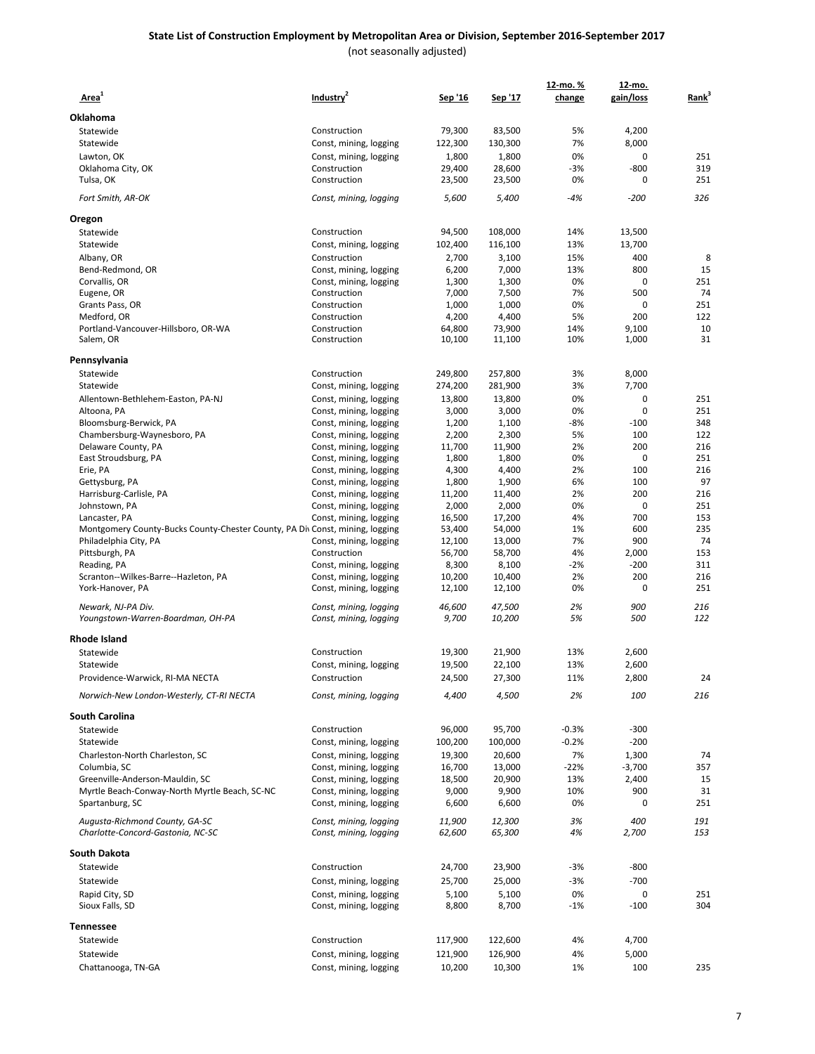#### **State List of Construction Employment by Metropolitan Area or Division, September 2016-September 2017** (not seasonally adjusted)

| Area <sup>+</sup>                                                                | Industry <sup>2</sup>                            | Sep '16          | Sep '17          | 12-mo. %<br>change | 12-mo.<br>gain/loss | Rank <sup>3</sup> |
|----------------------------------------------------------------------------------|--------------------------------------------------|------------------|------------------|--------------------|---------------------|-------------------|
| Oklahoma                                                                         |                                                  |                  |                  |                    |                     |                   |
| Statewide                                                                        | Construction                                     | 79,300           | 83,500           | 5%                 | 4,200               |                   |
| Statewide                                                                        | Const, mining, logging                           | 122,300          | 130,300          | 7%                 | 8,000               |                   |
| Lawton, OK                                                                       | Const, mining, logging                           | 1,800            | 1,800            | 0%                 | $\mathbf 0$         | 251               |
| Oklahoma City, OK                                                                | Construction                                     | 29,400           | 28,600           | -3%                | $-800$              | 319               |
| Tulsa, OK                                                                        | Construction                                     | 23,500           | 23,500           | 0%                 | $\mathbf 0$         | 251               |
| Fort Smith, AR-OK                                                                | Const, mining, logging                           | 5,600            | 5,400            | $-4%$              | $-200$              | 326               |
| Oregon                                                                           |                                                  |                  |                  |                    |                     |                   |
| Statewide                                                                        | Construction                                     | 94,500           | 108,000          | 14%                | 13,500              |                   |
| Statewide                                                                        | Const, mining, logging                           | 102,400          | 116,100          | 13%                | 13,700              |                   |
| Albany, OR                                                                       | Construction                                     | 2,700<br>6,200   | 3,100<br>7,000   | 15%<br>13%         | 400<br>800          | 8<br>15           |
| Bend-Redmond, OR<br>Corvallis, OR                                                | Const, mining, logging<br>Const, mining, logging | 1,300            | 1,300            | 0%                 | $\mathbf 0$         | 251               |
| Eugene, OR                                                                       | Construction                                     | 7,000            | 7,500            | 7%                 | 500                 | 74                |
| Grants Pass, OR                                                                  | Construction                                     | 1,000            | 1,000            | 0%                 | $\mathbf 0$         | 251               |
| Medford, OR                                                                      | Construction                                     | 4,200            | 4,400            | 5%                 | 200                 | 122               |
| Portland-Vancouver-Hillsboro, OR-WA                                              | Construction                                     | 64,800           | 73,900           | 14%                | 9,100               | 10                |
| Salem, OR                                                                        | Construction                                     | 10,100           | 11,100           | 10%                | 1,000               | 31                |
| Pennsylvania                                                                     |                                                  |                  |                  |                    |                     |                   |
| Statewide                                                                        | Construction                                     | 249,800          | 257,800          | 3%                 | 8,000               |                   |
| Statewide                                                                        | Const, mining, logging                           | 274,200          | 281,900          | 3%                 | 7,700               |                   |
| Allentown-Bethlehem-Easton, PA-NJ                                                | Const, mining, logging                           | 13,800           | 13,800           | 0%                 | $\mathbf 0$         | 251               |
| Altoona, PA                                                                      | Const, mining, logging                           | 3,000            | 3,000            | 0%                 | 0                   | 251               |
| Bloomsburg-Berwick, PA                                                           | Const, mining, logging                           | 1,200            | 1,100            | -8%                | $-100$              | 348               |
| Chambersburg-Waynesboro, PA                                                      | Const, mining, logging                           | 2,200            | 2,300            | 5%                 | 100                 | 122               |
| Delaware County, PA                                                              | Const, mining, logging                           | 11,700           | 11,900           | 2%                 | 200                 | 216               |
| East Stroudsburg, PA                                                             | Const, mining, logging                           | 1,800            | 1,800            | 0%                 | $\mathbf 0$         | 251               |
| Erie, PA                                                                         | Const, mining, logging                           | 4,300            | 4,400            | 2%<br>6%           | 100<br>100          | 216<br>97         |
| Gettysburg, PA<br>Harrisburg-Carlisle, PA                                        | Const, mining, logging<br>Const, mining, logging | 1,800<br>11,200  | 1,900<br>11,400  | 2%                 | 200                 | 216               |
| Johnstown, PA                                                                    | Const, mining, logging                           | 2,000            | 2,000            | 0%                 | $\mathbf 0$         | 251               |
| Lancaster, PA                                                                    | Const, mining, logging                           | 16,500           | 17,200           | 4%                 | 700                 | 153               |
| Montgomery County-Bucks County-Chester County, PA Div Const, mining, logging     |                                                  | 53,400           | 54,000           | 1%                 | 600                 | 235               |
| Philadelphia City, PA                                                            | Const, mining, logging                           | 12,100           | 13,000           | 7%                 | 900                 | 74                |
| Pittsburgh, PA                                                                   | Construction                                     | 56,700           | 58,700           | 4%                 | 2,000               | 153               |
| Reading, PA                                                                      | Const, mining, logging                           | 8,300            | 8,100            | $-2%$              | $-200$              | 311               |
| Scranton--Wilkes-Barre--Hazleton, PA                                             | Const, mining, logging                           | 10,200           | 10,400           | 2%                 | 200                 | 216               |
| York-Hanover, PA                                                                 | Const, mining, logging                           | 12,100           | 12,100           | 0%                 | 0                   | 251               |
| Newark, NJ-PA Div.<br>Youngstown-Warren-Boardman, OH-PA                          | Const, mining, logging<br>Const, mining, logging | 46,600<br>9,700  | 47,500<br>10,200 | 2%<br>5%           | 900<br>500          | 216<br>122        |
| Rhode Island                                                                     |                                                  |                  |                  |                    |                     |                   |
| Statewide                                                                        | Construction                                     | 19,300           | 21,900           | 13%                | 2,600               |                   |
| Statewide                                                                        | Const, mining, logging                           | 19,500           | 22,100           | 13%                | 2,600               |                   |
| Providence-Warwick, RI-MA NECTA                                                  | Construction                                     | 24,500           | 27,300           | 11%                | 2,800               | 24                |
| Norwich-New London-Westerly, CT-RI NECTA                                         | Const, mining, logging                           | 4,400            | 4,500            | 2%                 | 100                 | 216               |
| <b>South Carolina</b>                                                            |                                                  |                  |                  |                    |                     |                   |
| Statewide                                                                        | Construction                                     | 96,000           | 95,700           | $-0.3%$            | $-300$              |                   |
| Statewide                                                                        | Const, mining, logging                           | 100,200          | 100,000          | $-0.2%$            | $-200$              |                   |
| Charleston-North Charleston, SC                                                  | Const, mining, logging                           | 19,300           | 20,600           | 7%                 | 1,300               | 74                |
| Columbia, SC                                                                     | Const, mining, logging                           | 16,700           | 13,000           | $-22%$             | $-3,700$            | 357               |
| Greenville-Anderson-Mauldin, SC<br>Myrtle Beach-Conway-North Myrtle Beach, SC-NC | Const, mining, logging<br>Const, mining, logging | 18,500<br>9,000  | 20,900<br>9,900  | 13%<br>10%         | 2,400<br>900        | 15<br>31          |
| Spartanburg, SC                                                                  | Const, mining, logging                           | 6,600            | 6,600            | 0%                 | 0                   | 251               |
| Augusta-Richmond County, GA-SC<br>Charlotte-Concord-Gastonia, NC-SC              | Const, mining, logging<br>Const, mining, logging | 11,900<br>62,600 | 12,300<br>65,300 | 3%<br>4%           | 400<br>2,700        | 191<br>153        |
|                                                                                  |                                                  |                  |                  |                    |                     |                   |
| South Dakota                                                                     |                                                  |                  |                  |                    |                     |                   |
| Statewide                                                                        | Construction                                     | 24,700           | 23,900           | -3%                | $-800$              |                   |
| Statewide                                                                        | Const, mining, logging                           | 25,700           | 25,000           | -3%                | $-700$              |                   |
| Rapid City, SD<br>Sioux Falls, SD                                                | Const, mining, logging<br>Const, mining, logging | 5,100<br>8,800   | 5,100<br>8,700   | 0%<br>$-1%$        | 0<br>$-100$         | 251<br>304        |
| Tennessee                                                                        |                                                  |                  |                  |                    |                     |                   |
| Statewide                                                                        | Construction                                     | 117,900          | 122,600          | 4%                 | 4,700               |                   |
| Statewide                                                                        | Const, mining, logging                           | 121,900          | 126,900          | 4%                 | 5,000               |                   |
| Chattanooga, TN-GA                                                               | Const, mining, logging                           | 10,200           | 10,300           | 1%                 | 100                 | 235               |
|                                                                                  |                                                  |                  |                  |                    |                     |                   |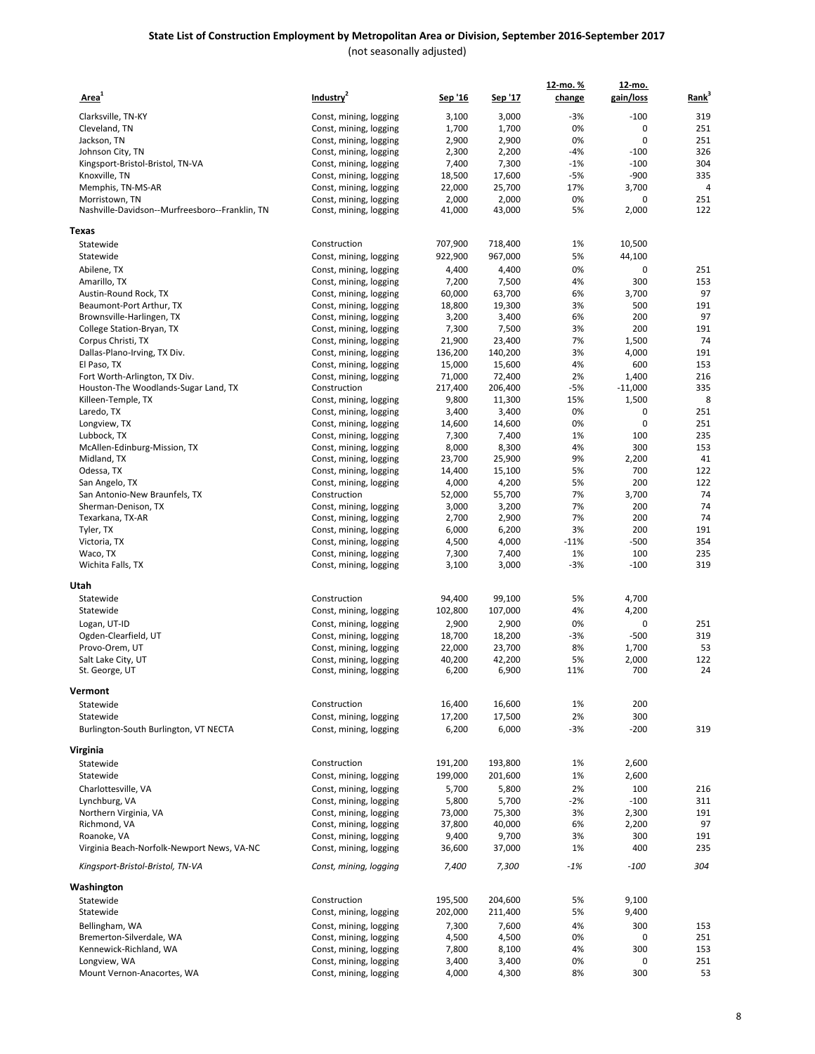| Area <sup>1</sup>                              | Industry <sup>2</sup>  | Sep '16 | Sep '17         | 12-mo.%<br>change | 12-mo.<br>gain/loss | Rank <sup>3</sup> |
|------------------------------------------------|------------------------|---------|-----------------|-------------------|---------------------|-------------------|
|                                                |                        |         |                 |                   |                     |                   |
| Clarksville, TN-KY                             | Const, mining, logging | 3,100   | 3,000           | $-3%$             | $-100$              | 319               |
| Cleveland, TN                                  | Const, mining, logging | 1,700   | 1,700           | 0%                | 0                   | 251               |
| Jackson, TN                                    | Const, mining, logging | 2,900   | 2,900           | 0%                | 0                   | 251               |
| Johnson City, TN                               | Const, mining, logging | 2,300   | 2,200           | $-4%$             | $-100$              | 326               |
| Kingsport-Bristol-Bristol, TN-VA               | Const, mining, logging | 7,400   | 7,300           | $-1%$             | $-100$              | 304               |
| Knoxville, TN                                  | Const, mining, logging | 18,500  | 17,600          | $-5%$             | $-900$              | 335               |
| Memphis, TN-MS-AR                              | Const, mining, logging | 22,000  | 25,700          | 17%               | 3,700               | $\overline{a}$    |
| Morristown, TN                                 | Const, mining, logging | 2,000   | 2,000           | 0%                | 0                   | 251               |
| Nashville-Davidson--Murfreesboro--Franklin, TN | Const, mining, logging | 41,000  | 43,000          | 5%                | 2,000               | 122               |
| Texas                                          |                        |         |                 |                   |                     |                   |
| Statewide                                      | Construction           | 707,900 | 718,400         | 1%                | 10,500              |                   |
| Statewide                                      | Const, mining, logging | 922,900 | 967,000         | 5%                | 44,100              |                   |
| Abilene, TX                                    | Const, mining, logging | 4,400   | 4,400           | 0%                | 0                   | 251               |
| Amarillo, TX                                   | Const, mining, logging | 7,200   | 7,500           | 4%                | 300                 | 153               |
| Austin-Round Rock, TX                          | Const, mining, logging | 60,000  | 63,700          | 6%                | 3,700               | 97                |
| Beaumont-Port Arthur, TX                       | Const, mining, logging | 18,800  | 19,300          | 3%                | 500                 | 191               |
| Brownsville-Harlingen, TX                      | Const, mining, logging | 3,200   | 3,400           | 6%                | 200                 | 97                |
| College Station-Bryan, TX                      | Const, mining, logging | 7,300   | 7,500           | 3%                | 200                 | 191               |
| Corpus Christi, TX                             | Const, mining, logging | 21,900  | 23,400          | 7%                | 1,500               | 74                |
| Dallas-Plano-Irving, TX Div.                   | Const, mining, logging | 136,200 | 140,200         | 3%                | 4,000               | 191               |
| El Paso, TX                                    | Const, mining, logging | 15,000  | 15,600          | 4%                | 600                 | 153               |
| Fort Worth-Arlington, TX Div.                  | Const, mining, logging | 71,000  | 72,400          | 2%                | 1,400               | 216               |
| Houston-The Woodlands-Sugar Land, TX           | Construction           | 217,400 | 206,400         | -5%               | $-11,000$           | 335               |
| Killeen-Temple, TX                             | Const, mining, logging | 9,800   | 11,300          | 15%               | 1,500               | 8                 |
| Laredo, TX                                     | Const, mining, logging | 3,400   | 3,400           | 0%                | 0                   | 251               |
| Longview, TX                                   | Const, mining, logging | 14,600  | 14,600          | 0%                | 0                   | 251               |
| Lubbock, TX                                    | Const, mining, logging | 7,300   | 7,400           | 1%                | 100                 | 235               |
| McAllen-Edinburg-Mission, TX                   | Const, mining, logging | 8,000   | 8,300           | 4%                | 300                 | 153               |
| Midland, TX                                    | Const, mining, logging | 23,700  | 25,900          | 9%                | 2,200               | 41                |
| Odessa, TX                                     | Const, mining, logging | 14,400  | 15,100          | 5%                | 700                 | 122               |
| San Angelo, TX                                 | Const, mining, logging | 4,000   | 4,200           | 5%                | 200                 | 122               |
| San Antonio-New Braunfels, TX                  | Construction           | 52,000  | 55,700          | 7%                | 3,700               | 74                |
| Sherman-Denison, TX                            | Const, mining, logging | 3,000   | 3,200           | 7%                | 200                 | 74                |
| Texarkana, TX-AR                               | Const, mining, logging | 2,700   | 2,900           | 7%                | 200                 | 74                |
| Tyler, TX                                      | Const, mining, logging | 6,000   | 6,200           | 3%                | 200                 | 191               |
| Victoria, TX                                   | Const, mining, logging | 4,500   | 4,000           | $-11%$            | $-500$              | 354               |
| Waco, TX                                       | Const, mining, logging | 7,300   | 7,400           | 1%                | 100                 | 235               |
| Wichita Falls, TX                              | Const, mining, logging | 3,100   | 3,000           | -3%               | $-100$              | 319               |
| Utah                                           |                        |         |                 |                   |                     |                   |
| Statewide                                      | Construction           | 94,400  | 99,100          | 5%                | 4,700               |                   |
| Statewide                                      | Const, mining, logging | 102,800 | 107,000         | 4%                | 4,200               |                   |
| Logan, UT-ID                                   | Const, mining, logging | 2,900   | 2,900           | 0%                | 0                   | 251               |
| Ogden-Clearfield, UT                           | Const, mining, logging | 18,700  | 18,200          | -3%               | $-500$              | 319               |
| Provo-Orem, UT                                 | Const, mining, logging | 22,000  | 23,700          | 8%                | 1,700               | 53                |
| Salt Lake City, UT                             | Const, mining, logging | 40,200  | 42,200          | 5%                | 2,000               | 122               |
| St. George, UT                                 | Const, mining, logging | 6,200   | 6,900           | 11%               | 700                 | 24                |
| Vermont                                        |                        |         |                 |                   |                     |                   |
| Statewide                                      | Construction           | 16,400  | 16,600          | 1%                | 200                 |                   |
| Statewide                                      | Const, mining, logging | 17,200  | 17,500          | 2%                | 300                 |                   |
| Burlington-South Burlington, VT NECTA          | Const, mining, logging | 6,200   | 6,000           | $-3%$             | $-200$              | 319               |
| Virginia                                       |                        |         |                 |                   |                     |                   |
| Statewide                                      | Construction           | 191,200 | 193,800         | 1%                | 2,600               |                   |
| Statewide                                      | Const, mining, logging | 199,000 | 201,600         | 1%                | 2,600               |                   |
| Charlottesville, VA                            | Const, mining, logging | 5,700   | 5,800           | 2%                | 100                 | 216               |
| Lynchburg, VA                                  |                        | 5,800   | 5,700           | $-2%$             | $-100$              | 311               |
| Northern Virginia, VA                          | Const, mining, logging |         |                 | 3%                |                     | 191               |
|                                                | Const, mining, logging | 73,000  | 75,300          |                   | 2,300               | 97                |
| Richmond, VA                                   | Const, mining, logging | 37,800  | 40,000<br>9,700 | 6%<br>3%          | 2,200<br>300        |                   |
| Roanoke, VA                                    | Const, mining, logging | 9,400   |                 |                   | 400                 | 191<br>235        |
| Virginia Beach-Norfolk-Newport News, VA-NC     | Const, mining, logging | 36,600  | 37,000          | 1%                |                     |                   |
| Kingsport-Bristol-Bristol, TN-VA               | Const, mining, logging | 7,400   | 7,300           | $-1%$             | $-100$              | 304               |
| Washington                                     |                        |         |                 |                   |                     |                   |
| Statewide                                      | Construction           | 195,500 | 204,600         | 5%                | 9,100               |                   |
| Statewide                                      | Const, mining, logging | 202,000 | 211,400         | 5%                | 9,400               |                   |
| Bellingham, WA                                 | Const, mining, logging | 7,300   | 7,600           | 4%                | 300                 | 153               |
| Bremerton-Silverdale, WA                       | Const, mining, logging | 4,500   | 4,500           | 0%                | 0                   | 251               |
| Kennewick-Richland, WA                         | Const, mining, logging | 7,800   | 8,100           | 4%                | 300                 | 153               |
| Longview, WA                                   | Const, mining, logging | 3,400   | 3,400           | 0%                | 0                   | 251               |
| Mount Vernon-Anacortes, WA                     | Const, mining, logging | 4,000   | 4,300           | 8%                | 300                 | 53                |